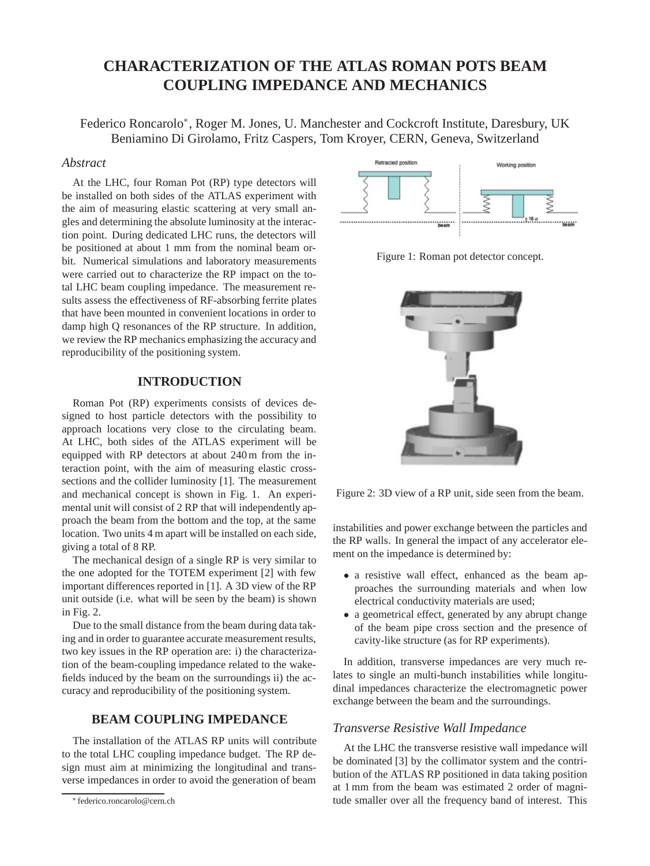# **CHARACTERIZATION OF THE ATLAS ROMAN POTS BEAM COUPLING IMPEDANCE AND MECHANICS**

Federico Roncarolo∗, Roger M. Jones, U. Manchester and Cockcroft Institute, Daresbury, UK Beniamino Di Girolamo, Fritz Caspers, Tom Kroyer, CERN, Geneva, Switzerland

### *Abstract*

At the LHC, four Roman Pot (RP) type detectors will be installed on both sides of the ATLAS experiment with the aim of measuring elastic scattering at very small angles and determining the absolute luminosity at the interaction point. During dedicated LHC runs, the detectors will be positioned at about 1 mm from the nominal beam orbit. Numerical simulations and laboratory measurements were carried out to characterize the RP impact on the total LHC beam coupling impedance. The measurement results assess the effectiveness of RF-absorbing ferrite plates that have been mounted in convenient locations in order to damp high Q resonances of the RP structure. In addition, we review the RP mechanics emphasizing the accuracy and reproducibility of the positioning system.

## **INTRODUCTION**

Roman Pot (RP) experiments consists of devices designed to host particle detectors with the possibility to approach locations very close to the circulating beam. At LHC, both sides of the ATLAS experiment will be equipped with RP detectors at about 240 m from the interaction point, with the aim of measuring elastic crosssections and the collider luminosity [1]. The measurement and mechanical concept is shown in Fig. 1. An experimental unit will consist of 2 RP that will independently approach the beam from the bottom and the top, at the same location. Two units 4 m apart will be installed on each side, giving a total of 8 RP.

The mechanical design of a single RP is very similar to the one adopted for the TOTEM experiment [2] with few important differences reported in [1]. A 3D view of the RP unit outside (i.e. what will be seen by the beam) is shown in Fig. 2.

Due to the small distance from the beam during data taking and in order to guarantee accurate measurement results, two key issues in the RP operation are: i) the characterization of the beam-coupling impedance related to the wakefields induced by the beam on the surroundings ii) the accuracy and reproducibility of the positioning system.

## **BEAM COUPLING IMPEDANCE**

The installation of the ATLAS RP units will contribute to the total LHC coupling impedance budget. The RP design must aim at minimizing the longitudinal and transverse impedances in order to avoid the generation of beam



Figure 1: Roman pot detector concept.



Figure 2: 3D view of a RP unit, side seen from the beam.

instabilities and power exchange between the particles and the RP walls. In general the impact of any accelerator element on the impedance is determined by:

- *•* a resistive wall effect, enhanced as the beam approaches the surrounding materials and when low electrical conductivity materials are used;
- a geometrical effect, generated by any abrupt change of the beam pipe cross section and the presence of cavity-like structure (as for RP experiments).

In addition, transverse impedances are very much relates to single an multi-bunch instabilities while longitudinal impedances characterize the electromagnetic power exchange between the beam and the surroundings.

## *Transverse Resistive Wall Impedance*

At the LHC the transverse resistive wall impedance will be dominated [3] by the collimator system and the contribution of the ATLAS RP positioned in data taking position at 1 mm from the beam was estimated 2 order of magnitude smaller over all the frequency band of interest. This

<sup>∗</sup> federico.roncarolo@cern.ch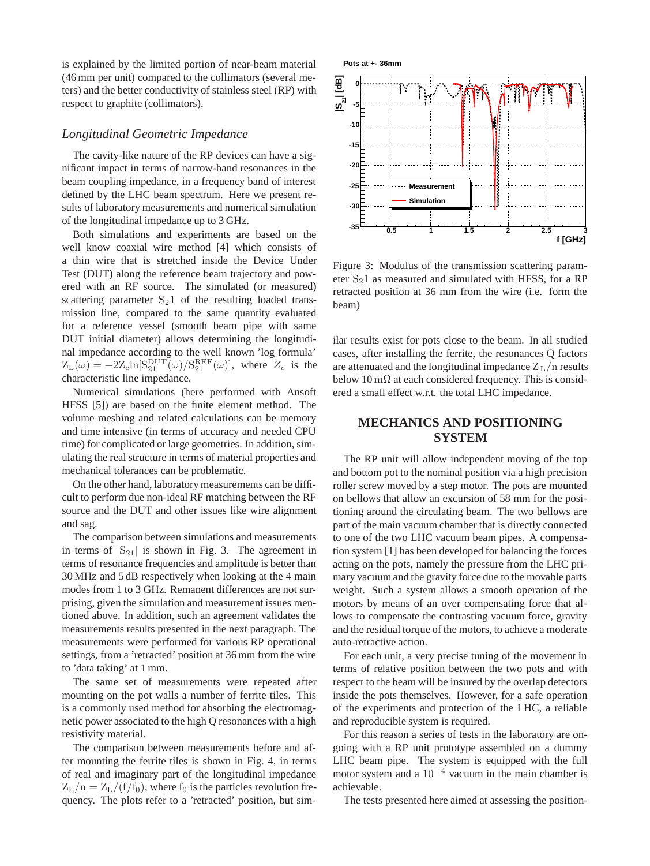is explained by the limited portion of near-beam material (46 mm per unit) compared to the collimators (several meters) and the better conductivity of stainless steel (RP) with respect to graphite (collimators).

#### *Longitudinal Geometric Impedance*

The cavity-like nature of the RP devices can have a significant impact in terms of narrow-band resonances in the beam coupling impedance, in a frequency band of interest defined by the LHC beam spectrum. Here we present results of laboratory measurements and numerical simulation of the longitudinal impedance up to 3 GHz.

Both simulations and experiments are based on the well know coaxial wire method [4] which consists of a thin wire that is stretched inside the Device Under Test (DUT) along the reference beam trajectory and powered with an RF source. The simulated (or measured) scattering parameter  $S_21$  of the resulting loaded transmission line, compared to the same quantity evaluated for a reference vessel (smooth beam pipe with same DUT initial diameter) allows determining the longitudinal impedance according to the well known 'log formula'  $Z_{\text{L}}(\omega) = -2Z_{\text{c}}\ln[\text{S}_{21}^{\text{DUT}}(\omega)/\text{S}_{21}^{\text{REF}}(\omega)],$  where  $Z_c$  is the characteristic line impedance.

Numerical simulations (here performed with Ansoft HFSS [5]) are based on the finite element method. The volume meshing and related calculations can be memory and time intensive (in terms of accuracy and needed CPU time) for complicated or large geometries. In addition, simulating the real structure in terms of material properties and mechanical tolerances can be problematic.

On the other hand, laboratory measurements can be difficult to perform due non-ideal RF matching between the RF source and the DUT and other issues like wire alignment and sag.

The comparison between simulations and measurements in terms of  $|S_{21}|$  is shown in Fig. 3. The agreement in terms of resonance frequencies and amplitude is better than 30 MHz and 5 dB respectively when looking at the 4 main modes from 1 to 3 GHz. Remanent differences are not surprising, given the simulation and measurement issues mentioned above. In addition, such an agreement validates the measurements results presented in the next paragraph. The measurements were performed for various RP operational settings, from a 'retracted' position at 36 mm from the wire to 'data taking' at 1 mm.

The same set of measurements were repeated after mounting on the pot walls a number of ferrite tiles. This is a commonly used method for absorbing the electromagnetic power associated to the high Q resonances with a high resistivity material.

The comparison between measurements before and after mounting the ferrite tiles is shown in Fig. 4, in terms of real and imaginary part of the longitudinal impedance  $Z_{\text{L}}/n=Z_{\text{L}}/(f/f_0)$ , where  $f_0$  is the particles revolution frequency. The plots refer to a 'retracted' position, but sim-



Figure 3: Modulus of the transmission scattering parameter  $S_2$ 1 as measured and simulated with HFSS, for a RP retracted position at 36 mm from the wire (i.e. form the beam)

ilar results exist for pots close to the beam. In all studied cases, after installing the ferrite, the resonances Q factors are attenuated and the longitudinal impedance  $Z_L/n$  results below  $10 \,\mathrm{m}\Omega$  at each considered frequency. This is considered a small effect w.r.t. the total LHC impedance.

## **MECHANICS AND POSITIONING SYSTEM**

The RP unit will allow independent moving of the top and bottom pot to the nominal position via a high precision roller screw moved by a step motor. The pots are mounted on bellows that allow an excursion of 58 mm for the positioning around the circulating beam. The two bellows are part of the main vacuum chamber that is directly connected to one of the two LHC vacuum beam pipes. A compensation system [1] has been developed for balancing the forces acting on the pots, namely the pressure from the LHC primary vacuum and the gravity force due to the movable parts weight. Such a system allows a smooth operation of the motors by means of an over compensating force that allows to compensate the contrasting vacuum force, gravity and the residual torque of the motors, to achieve a moderate auto-retractive action.

For each unit, a very precise tuning of the movement in terms of relative position between the two pots and with respect to the beam will be insured by the overlap detectors inside the pots themselves. However, for a safe operation of the experiments and protection of the LHC, a reliable and reproducible system is required.

For this reason a series of tests in the laboratory are ongoing with a RP unit prototype assembled on a dummy LHC beam pipe. The system is equipped with the full motor system and a 10*−*<sup>4</sup> vacuum in the main chamber is achievable.

The tests presented here aimed at assessing the position-